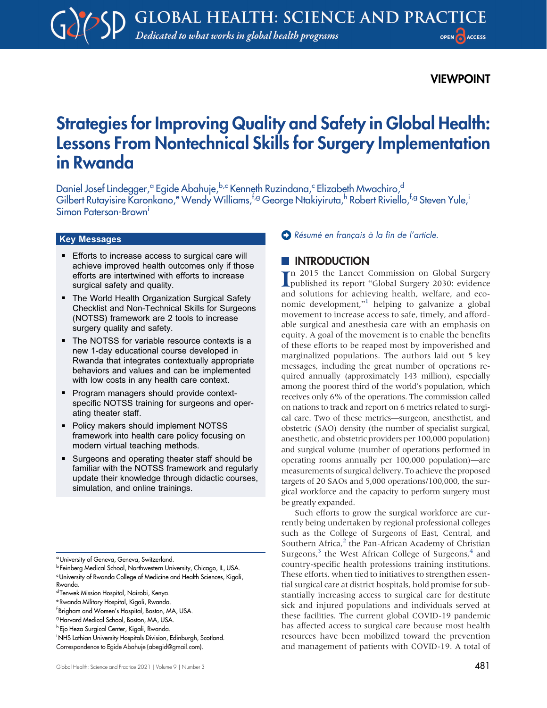## VIEWPOINT

# Strategies for Improving Quality and Safety in Global Health: Lessons From Nontechnical Skills for Surgery Implementation in Rwanda

Daniel Josef Lindegger,<sup>a</sup> Egide Abahuje,<sup>b,c</sup> Kenneth Ruzindana,<sup>c</sup> Elizabeth Mwachiro,<sup>d</sup> Gilbert Rutayisire Karonkano,<sup>e</sup> Wendy Williams,<sup>f,g</sup> George Ntakiyiruta,<sup>h</sup> Robert Riviello,<sup>f,g</sup> Steven Yule,<sup>i</sup> Simon Paterson-Brown<sup>i</sup>

#### Key Messages

- **Efforts to increase access to surgical care will** achieve improved health outcomes only if those efforts are intertwined with efforts to increase surgical safety and quality.
- **The World Health Organization Surgical Safety** Checklist and Non-Technical Skills for Surgeons (NOTSS) framework are 2 tools to increase surgery quality and safety.
- The NOTSS for variable resource contexts is a new 1-day educational course developed in Rwanda that integrates contextually appropriate behaviors and values and can be implemented with low costs in any health care context.
- **Program managers should provide context**specific NOTSS training for surgeons and operating theater staff.
- Policy makers should implement NOTSS framework into health care policy focusing on modern virtual teaching methods.
- **EXTER Surgeons and operating theater staff should be** familiar with the NOTSS framework and regularly update their knowledge through didactic courses, simulation, and online trainings.

f Brigham and Women's Hospital, Boston, MA, USA.

h Ejo Heza Surgical Center, Kigali, Rwanda.

[Résumé en français à la fin de l](#page-5-0)'article.

## **INTRODUCTION**

I n 2015 the Lancet Commission on Global Surgery published its report "Global Surgery 2030: evidence and solutions for achieving health, welfare, and eco-nomic development,"<sup>[1](#page-4-0)</sup> helping to galvanize a global movement to increase access to safe, timely, and affordable surgical and anesthesia care with an emphasis on equity. A goal of the movement is to enable the benefits of these efforts to be reaped most by impoverished and marginalized populations. The authors laid out 5 key messages, including the great number of operations required annually (approximately 143 million), especially among the poorest third of the world's population, which receives only 6% of the operations. The commission called on nations to track and report on 6 metrics related to surgical care. Two of these metrics—surgeon, anesthetist, and obstetric (SAO) density (the number of specialist surgical, anesthetic, and obstetric providers per 100,000 population) and surgical volume (number of operations performed in operating rooms annually per 100,000 population)—are measurements of surgical delivery. To achieve the proposed targets of 20 SAOs and 5,000 operations/100,000, the surgical workforce and the capacity to perform surgery must be greatly expanded.

Such efforts to grow the surgical workforce are currently being undertaken by regional professional colleges such as the College of Surgeons of East, Central, and Southern Africa, $<sup>2</sup>$  $<sup>2</sup>$  $<sup>2</sup>$  the Pan-African Academy of Christian</sup> Surgeons, $3$  the West African College of Surgeons, $4$  and country-specific health professions training institutions. These efforts, when tied to initiatives to strengthen essential surgical care at district hospitals, hold promise for substantially increasing access to surgical care for destitute sick and injured populations and individuals served at these facilities. The current global COVID-19 pandemic has affected access to surgical care because most health resources have been mobilized toward the prevention and management of patients with COVID-19. A total of

<sup>&</sup>lt;sup>a</sup> University of Geneva, Geneva, Switzerland.

<sup>b</sup> Feinberg Medical School, Northwestern University, Chicago, IL, USA. <sup>c</sup>University of Rwanda College of Medicine and Health Sciences, Kigali, Rwanda.

d Tenwek Mission Hospital, Nairobi, Kenya.

<sup>e</sup> Rwanda Military Hospital, Kigali, Rwanda.

<sup>&</sup>lt;sup>g</sup> Harvard Medical School, Boston, MA, USA.

<sup>&</sup>lt;sup>i</sup> NHS Lothian University Hospitals Division, Edinburgh, Scotland. Correspondence to Egide Abahuje ([abegid@gmail.com\)](mailto:abegid@gmail.com).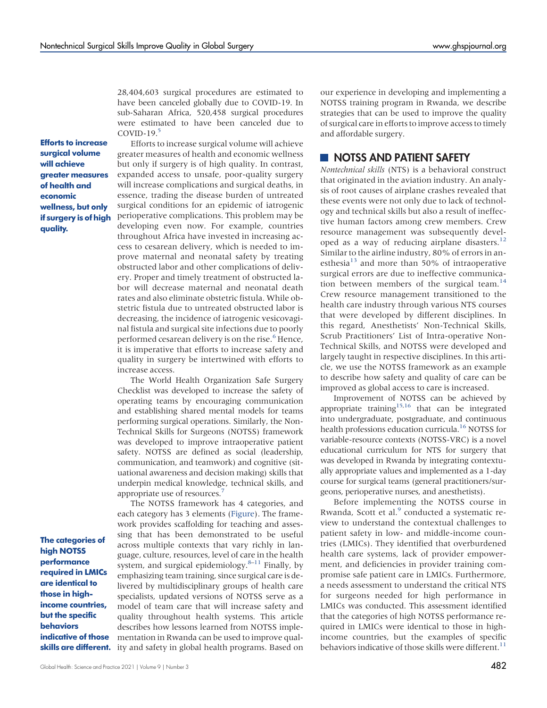28,404,603 surgical procedures are estimated to have been canceled globally due to COVID-19. In sub-Saharan Africa, 520,458 surgical procedures were estimated to have been canceled due to COVID-19. $5$ 

Efforts to increase surgical volume will achieve greater measures of health and economic wellness, but only if surgery is of high quality.

Efforts to increase surgical volume will achieve greater measures of health and economic wellness but only if surgery is of high quality. In contrast, expanded access to unsafe, poor-quality surgery will increase complications and surgical deaths, in essence, trading the disease burden of untreated surgical conditions for an epidemic of iatrogenic perioperative complications. This problem may be developing even now. For example, countries throughout Africa have invested in increasing access to cesarean delivery, which is needed to improve maternal and neonatal safety by treating obstructed labor and other complications of delivery. Proper and timely treatment of obstructed labor will decrease maternal and neonatal death rates and also eliminate obstetric fistula. While obstetric fistula due to untreated obstructed labor is decreasing, the incidence of iatrogenic vesicovaginal fistula and surgical site infections due to poorly performed cesarean delivery is on the rise.<sup>[6](#page-5-2)</sup> Hence, it is imperative that efforts to increase safety and quality in surgery be intertwined with efforts to increase access.

The World Health Organization Safe Surgery Checklist was developed to increase the safety of operating teams by encouraging communication and establishing shared mental models for teams performing surgical operations. Similarly, the Non-Technical Skills for Surgeons (NOTSS) framework was developed to improve intraoperative patient safety. NOTSS are defined as social (leadership, communication, and teamwork) and cognitive (situational awareness and decision making) skills that underpin medical knowledge, technical skills, and appropriate use of resources.

The categories of high NOTSS performance required in LMICs are identical to those in highincome countries, but the specific behaviors indicative of those

The NOTSS framework has 4 categories, and each category has 3 elements ([Figure\)](#page-2-0). The framework provides scaffolding for teaching and assessing that has been demonstrated to be useful across multiple contexts that vary richly in language, culture, resources, level of care in the health system, and surgical epidemiology. $8-11$  $8-11$  Finally, by emphasizing team training, since surgical care is delivered by multidisciplinary groups of health care specialists, updated versions of NOTSS serve as a model of team care that will increase safety and quality throughout health systems. This article describes how lessons learned from NOTSS implementation in Rwanda can be used to improve qual**skills are different.** ity and safety in global health programs. Based on

our experience in developing and implementing a NOTSS training program in Rwanda, we describe strategies that can be used to improve the quality of surgical care in efforts to improve access to timely and affordable surgery.

## NOTSS AND PATIENT SAFETY

Nontechnical skills (NTS) is a behavioral construct that originated in the aviation industry. An analysis of root causes of airplane crashes revealed that these events were not only due to lack of technology and technical skills but also a result of ineffective human factors among crew members. Crew resource management was subsequently developed as a way of reducing airplane disasters.<sup>12</sup> Similar to the airline industry, 80% of errors in an-esthesia<sup>[13](#page-5-7)</sup> and more than 50% of intraoperative surgical errors are due to ineffective communication between members of the surgical team. $^{14}$  $^{14}$  $^{14}$ Crew resource management transitioned to the health care industry through various NTS courses that were developed by different disciplines. In this regard, Anesthetists' Non-Technical Skills, Scrub Practitioners' List of Intra-operative Non-Technical Skills, and NOTSS were developed and largely taught in respective disciplines. In this article, we use the NOTSS framework as an example to describe how safety and quality of care can be improved as global access to care is increased.

Improvement of NOTSS can be achieved by appropriate training<sup>15,[16](#page-5-10)</sup> that can be integrated into undergraduate, postgraduate, and continuous health professions education curricula.<sup>16</sup> NOTSS for variable-resource contexts (NOTSS-VRC) is a novel educational curriculum for NTS for surgery that was developed in Rwanda by integrating contextually appropriate values and implemented as a 1-day course for surgical teams (general practitioners/surgeons, perioperative nurses, and anesthetists).

Before implementing the NOTSS course in Rwanda, Scott et al.<sup>[9](#page-5-11)</sup> conducted a systematic review to understand the contextual challenges to patient safety in low- and middle-income countries (LMICs). They identified that overburdened health care systems, lack of provider empowerment, and deficiencies in provider training compromise safe patient care in LMICs. Furthermore, a needs assessment to understand the critical NTS for surgeons needed for high performance in LMICs was conducted. This assessment identified that the categories of high NOTSS performance required in LMICs were identical to those in highincome countries, but the examples of specific behaviors indicative of those skills were different.<sup>11</sup>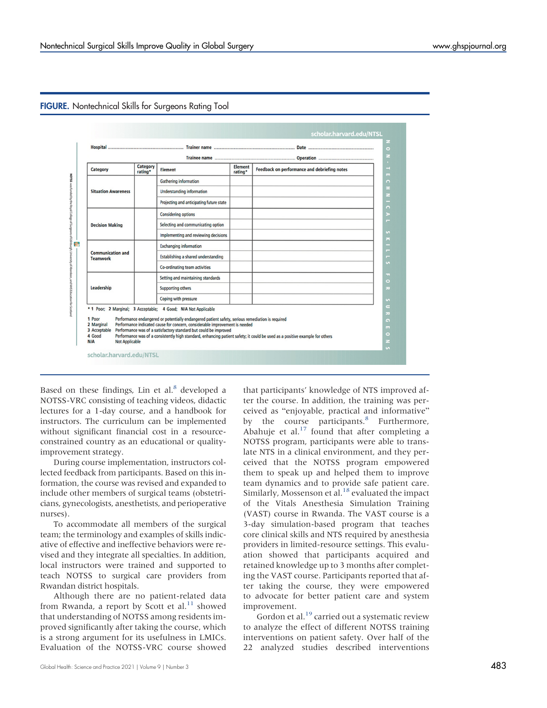| Category                                                                       | Category<br>rating* | <b>Element</b>                                                                                                                                                                                                                                                                                                        | <b>Element</b><br>rating* | Feedback on performance and debriefing notes                                                                                 |
|--------------------------------------------------------------------------------|---------------------|-----------------------------------------------------------------------------------------------------------------------------------------------------------------------------------------------------------------------------------------------------------------------------------------------------------------------|---------------------------|------------------------------------------------------------------------------------------------------------------------------|
| <b>Situation Awareness</b>                                                     |                     | <b>Gathering information</b>                                                                                                                                                                                                                                                                                          |                           |                                                                                                                              |
|                                                                                |                     | <b>Understanding information</b>                                                                                                                                                                                                                                                                                      |                           |                                                                                                                              |
|                                                                                |                     | Projecting and anticipating future state                                                                                                                                                                                                                                                                              |                           |                                                                                                                              |
| <b>Decision Making</b>                                                         |                     | <b>Considering options</b>                                                                                                                                                                                                                                                                                            |                           |                                                                                                                              |
|                                                                                |                     | Selecting and communicating option                                                                                                                                                                                                                                                                                    |                           |                                                                                                                              |
|                                                                                |                     | Implementing and reviewing decisions                                                                                                                                                                                                                                                                                  |                           |                                                                                                                              |
| <b>Communication and</b><br><b>Teamwork</b>                                    |                     | <b>Exchanging information</b>                                                                                                                                                                                                                                                                                         |                           |                                                                                                                              |
|                                                                                |                     | Establishing a shared understanding                                                                                                                                                                                                                                                                                   |                           |                                                                                                                              |
|                                                                                |                     | Co-ordinating team activities                                                                                                                                                                                                                                                                                         |                           |                                                                                                                              |
| Leadership                                                                     |                     | Setting and maintaining standards                                                                                                                                                                                                                                                                                     |                           |                                                                                                                              |
|                                                                                |                     | <b>Supporting others</b>                                                                                                                                                                                                                                                                                              |                           |                                                                                                                              |
|                                                                                |                     | Coping with pressure                                                                                                                                                                                                                                                                                                  |                           |                                                                                                                              |
| 1 Poor<br>2 Marginal<br>3 Acceptable<br>4 Good<br><b>Not Applicable</b><br>N/A |                     | * 1 Poor; 2 Marginal; 3 Acceptable; 4 Good; N/A Not Applicable<br>Performance endangered or potentially endangered patient safety, serious remediation is required<br>Performance indicated cause for concern, considerable improvement is needed<br>Performance was of a satisfactory standard but could be improved |                           | Performance was of a consistently high standard, enhancing patient safety; it could be used as a positive example for others |

#### <span id="page-2-0"></span>FIGURE. Nontechnical Skills for Surgeons Rating Tool

Based on these findings, Lin et al. $8$  developed a NOTSS-VRC consisting of teaching videos, didactic lectures for a 1-day course, and a handbook for instructors. The curriculum can be implemented without significant financial cost in a resourceconstrained country as an educational or qualityimprovement strategy.

During course implementation, instructors collected feedback from participants. Based on this information, the course was revised and expanded to include other members of surgical teams (obstetricians, gynecologists, anesthetists, and perioperative nurses).

To accommodate all members of the surgical team; the terminology and examples of skills indicative of effective and ineffective behaviors were revised and they integrate all specialties. In addition, local instructors were trained and supported to teach NOTSS to surgical care providers from Rwandan district hospitals.

Although there are no patient-related data from Rwanda, a report by Scott et al.<sup>[11](#page-5-5)</sup> showed that understanding of NOTSS among residents improved significantly after taking the course, which is a strong argument for its usefulness in LMICs. Evaluation of the NOTSS-VRC course showed

that participants' knowledge of NTS improved after the course. In addition, the training was perceived as "enjoyable, practical and informative" by the course participants.<sup>[8](#page-5-4)</sup> Furthermore, Abahuje et al. $17$  found that after completing a NOTSS program, participants were able to translate NTS in a clinical environment, and they perceived that the NOTSS program empowered them to speak up and helped them to improve team dynamics and to provide safe patient care. Similarly, Mossenson et al. $18$  evaluated the impact of the Vitals Anesthesia Simulation Training (VAST) course in Rwanda. The VAST course is a 3-day simulation-based program that teaches core clinical skills and NTS required by anesthesia providers in limited-resource settings. This evaluation showed that participants acquired and retained knowledge up to 3 months after completing the VAST course. Participants reported that after taking the course, they were empowered to advocate for better patient care and system improvement.

Gordon et al.<sup>[19](#page-5-14)</sup> carried out a systematic review to analyze the effect of different NOTSS training interventions on patient safety. Over half of the 22 analyzed studies described interventions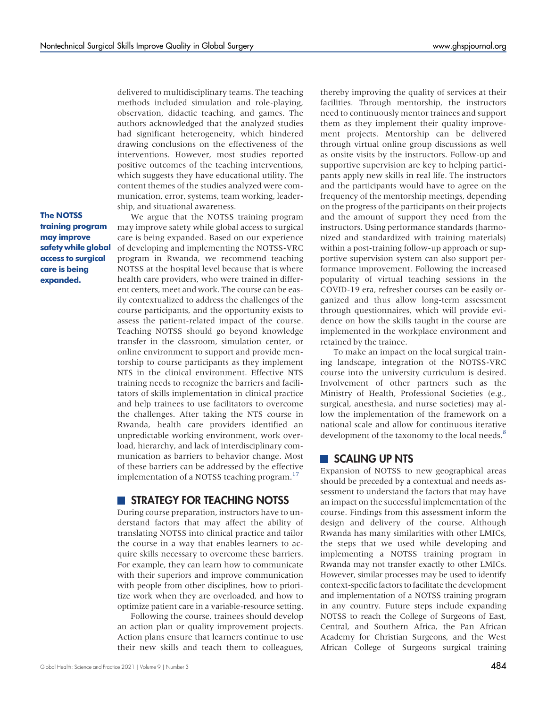delivered to multidisciplinary teams. The teaching methods included simulation and role-playing, observation, didactic teaching, and games. The authors acknowledged that the analyzed studies had significant heterogeneity, which hindered drawing conclusions on the effectiveness of the interventions. However, most studies reported positive outcomes of the teaching interventions, which suggests they have educational utility. The content themes of the studies analyzed were communication, error, systems, team working, leadership, and situational awareness.

The NOTSS training program may improve safety while global access to surgical care is being expanded.

We argue that the NOTSS training program may improve safety while global access to surgical care is being expanded. Based on our experience of developing and implementing the NOTSS-VRC program in Rwanda, we recommend teaching NOTSS at the hospital level because that is where health care providers, who were trained in different centers, meet and work. The course can be easily contextualized to address the challenges of the course participants, and the opportunity exists to assess the patient-related impact of the course. Teaching NOTSS should go beyond knowledge transfer in the classroom, simulation center, or online environment to support and provide mentorship to course participants as they implement NTS in the clinical environment. Effective NTS training needs to recognize the barriers and facilitators of skills implementation in clinical practice and help trainees to use facilitators to overcome the challenges. After taking the NTS course in Rwanda, health care providers identified an unpredictable working environment, work overload, hierarchy, and lack of interdisciplinary communication as barriers to behavior change. Most of these barriers can be addressed by the effective implementation of a NOTSS teaching program.<sup>17</sup>

#### **STRATEGY FOR TEACHING NOTSS**

During course preparation, instructors have to understand factors that may affect the ability of translating NOTSS into clinical practice and tailor the course in a way that enables learners to acquire skills necessary to overcome these barriers. For example, they can learn how to communicate with their superiors and improve communication with people from other disciplines, how to prioritize work when they are overloaded, and how to optimize patient care in a variable-resource setting.

Following the course, trainees should develop an action plan or quality improvement projects. Action plans ensure that learners continue to use their new skills and teach them to colleagues, thereby improving the quality of services at their facilities. Through mentorship, the instructors need to continuously mentor trainees and support them as they implement their quality improvement projects. Mentorship can be delivered through virtual online group discussions as well as onsite visits by the instructors. Follow-up and supportive supervision are key to helping participants apply new skills in real life. The instructors and the participants would have to agree on the frequency of the mentorship meetings, depending on the progress of the participants on their projects and the amount of support they need from the instructors. Using performance standards (harmonized and standardized with training materials) within a post-training follow-up approach or supportive supervision system can also support performance improvement. Following the increased popularity of virtual teaching sessions in the COVID-19 era, refresher courses can be easily organized and thus allow long-term assessment through questionnaires, which will provide evidence on how the skills taught in the course are implemented in the workplace environment and retained by the trainee.

To make an impact on the local surgical training landscape, integration of the NOTSS-VRC course into the university curriculum is desired. Involvement of other partners such as the Ministry of Health, Professional Societies (e.g., surgical, anesthesia, and nurse societies) may allow the implementation of the framework on a national scale and allow for continuous iterative development of the taxonomy to the local needs.<sup>[8](#page-5-4)</sup>

#### SCALING UP NTS

Expansion of NOTSS to new geographical areas should be preceded by a contextual and needs assessment to understand the factors that may have an impact on the successful implementation of the course. Findings from this assessment inform the design and delivery of the course. Although Rwanda has many similarities with other LMICs, the steps that we used while developing and implementing a NOTSS training program in Rwanda may not transfer exactly to other LMICs. However, similar processes may be used to identify context-specific factors to facilitate the development and implementation of a NOTSS training program in any country. Future steps include expanding NOTSS to reach the College of Surgeons of East, Central, and Southern Africa, the Pan African Academy for Christian Surgeons, and the West African College of Surgeons surgical training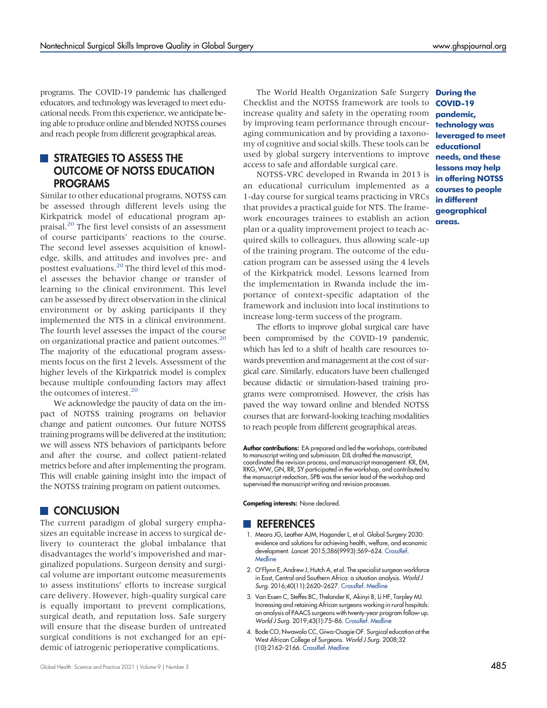programs. The COVID-19 pandemic has challenged educators, and technology was leveraged to meet educational needs. From this experience, we anticipate being able to produce online and blended NOTSS courses and reach people from different geographical areas.

# **STRATEGIES TO ASSESS THE** OUTCOME OF NOTSS EDUCATION PROGRAMS

Similar to other educational programs, NOTSS can be assessed through different levels using the Kirkpatrick model of educational program ap-praisal.<sup>[20](#page-5-15)</sup> The first level consists of an assessment of course participants' reactions to the course. The second level assesses acquisition of knowledge, skills, and attitudes and involves pre- and posttest evaluations.<sup>20</sup> The third level of this model assesses the behavior change or transfer of learning to the clinical environment. This level can be assessed by direct observation in the clinical environment or by asking participants if they implemented the NTS in a clinical environment. The fourth level assesses the impact of the course on organizational practice and patient outcomes.<sup>[20](#page-5-15)</sup> The majority of the educational program assessments focus on the first 2 levels. Assessment of the higher levels of the Kirkpatrick model is complex because multiple confounding factors may affect the outcomes of interest.<sup>20</sup>

We acknowledge the paucity of data on the impact of NOTSS training programs on behavior change and patient outcomes. Our future NOTSS training programs will be delivered at the institution; we will assess NTS behaviors of participants before and after the course, and collect patient-related metrics before and after implementing the program. This will enable gaining insight into the impact of the NOTSS training program on patient outcomes.

# **CONCLUSION**

The current paradigm of global surgery emphasizes an equitable increase in access to surgical delivery to counteract the global imbalance that disadvantages the world's impoverished and marginalized populations. Surgeon density and surgical volume are important outcome measurements to assess institutions' efforts to increase surgical care delivery. However, high-quality surgical care is equally important to prevent complications, surgical death, and reputation loss. Safe surgery will ensure that the disease burden of untreated surgical conditions is not exchanged for an epidemic of iatrogenic perioperative complications.

The World Health Organization Safe Surgery During the Checklist and the NOTSS framework are tools to increase quality and safety in the operating room by improving team performance through encouraging communication and by providing a taxonomy of cognitive and social skills. These tools can be used by global surgery interventions to improve access to safe and affordable surgical care.

NOTSS-VRC developed in Rwanda in 2013 is an educational curriculum implemented as a 1-day course for surgical teams practicing in VRCs that provides a practical guide for NTS. The framework encourages trainees to establish an action plan or a quality improvement project to teach acquired skills to colleagues, thus allowing scale-up of the training program. The outcome of the education program can be assessed using the 4 levels of the Kirkpatrick model. Lessons learned from the implementation in Rwanda include the importance of context-specific adaptation of the framework and inclusion into local institutions to increase long-term success of the program.

The efforts to improve global surgical care have been compromised by the COVID-19 pandemic, which has led to a shift of health care resources towards prevention and management at the cost of surgical care. Similarly, educators have been challenged because didactic or simulation-based training programs were compromised. However, the crisis has paved the way toward online and blended NOTSS courses that are forward-looking teaching modalities to reach people from different geographical areas.

Author contributions: EA prepared and led the workshops, contributed to manuscript writing and submission. DJL drafted the manuscript, coordinated the revision process, and manuscript management. KR, EM, RKG, WW, GN, RR, SY participated in the workshop, and contributed to the manuscript redaction, SPB was the senior lead of the workshop and supervised the manuscript writing and revision processes.

Competing interests: None declared.

## **REFERENCES**

- <span id="page-4-0"></span>1. Meara JG, Leather AJM, Hagander L, et al. Global Surgery 2030: evidence and solutions for achieving health, welfare, and economic development. Lancet. 2015;386(9993):569–624. [CrossRef.](https://doi.org/10.1016/S0140-6736(15)60160-X) **[Medline](http://www.ncbi.nlm.nih.gov/pubmed/25924834)**
- <span id="page-4-1"></span>2. O'Flynn E, Andrew J, Hutch A, et al. The specialist surgeon workforce in East, Central and Southern Africa: a situation analysis. World J Surg. 2016;40(11):2620–2627. [CrossRef.](https://doi.org/10.1007/s00268-016-3601-3) [Medline](http://www.ncbi.nlm.nih.gov/pubmed/27283189)
- <span id="page-4-2"></span>3. Van Essen C, Steffes BC, Thelander K, Akinyi B, Li HF, Tarpley MJ. Increasing and retaining African surgeons working in rural hospitals: an analysis of PAACS surgeons with twenty-year program follow-up. World J Surg. 2019;43(1):75–86. [CrossRef](https://doi.org/10.1007/s00268-018-4781-9). [Medline](http://www.ncbi.nlm.nih.gov/pubmed/30178129)
- <span id="page-4-3"></span>4. Bode CO, Nwawolo CC, Giwa-Osagie OF. Surgical education at the West African College of Surgeons. World J Surg. 2008;32 (10):2162–2166. [CrossRef.](https://doi.org/10.1007/s00268-008-9710-x) [Medline](http://www.ncbi.nlm.nih.gov/pubmed/18758852)

COVID-19 pandemic, technology was leveraged to meet educational needs, and these lessons may help in offering NOTSS courses to people in different geographical areas.